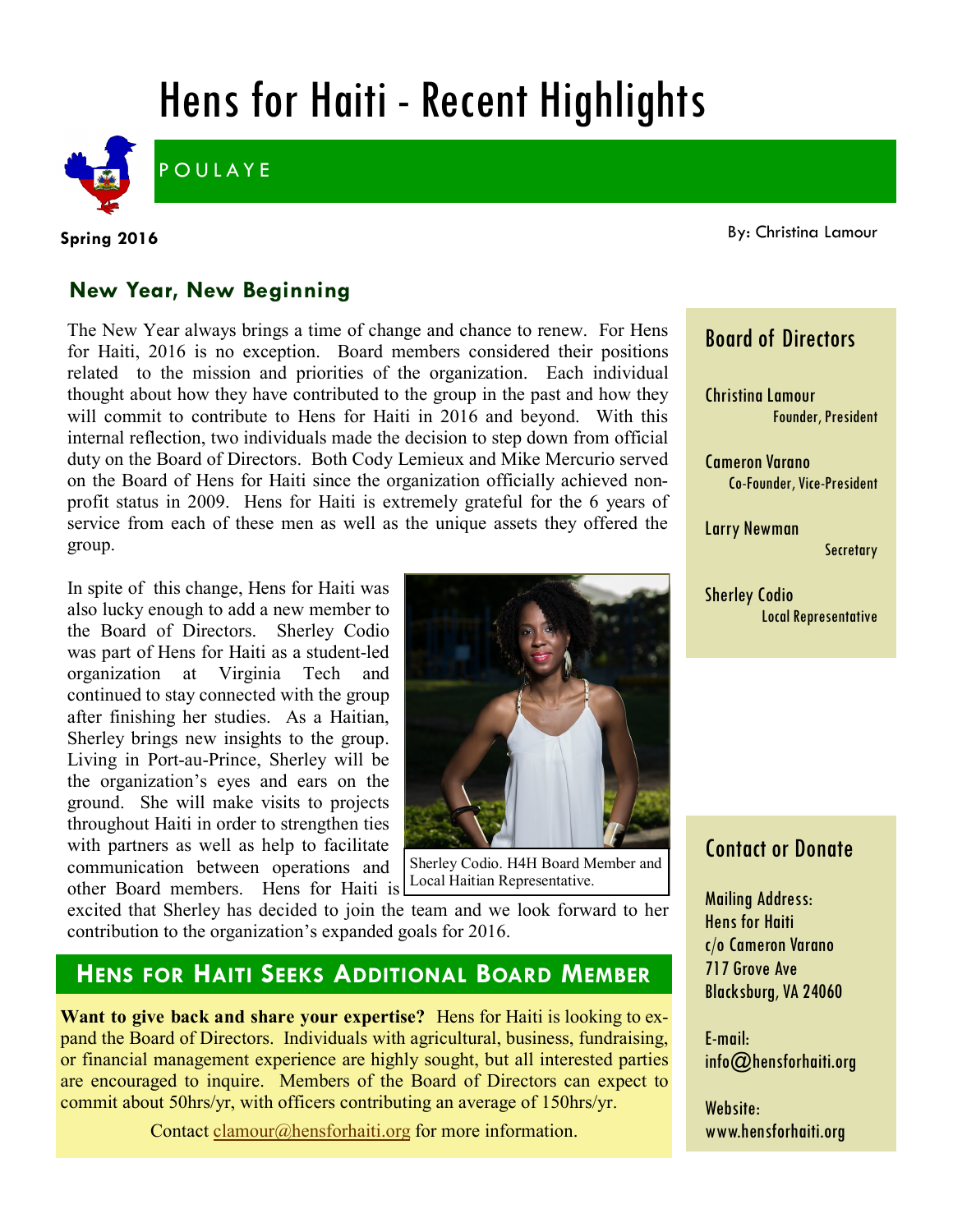# Hens for Haiti - Recent Highlights



**POULAYE** 

**Spring 2016**

By: Christina Lamour

#### **New Year, New Beginning**

The New Year always brings a time of change and chance to renew. For Hens for Haiti, 2016 is no exception. Board members considered their positions related to the mission and priorities of the organization. Each individual thought about how they have contributed to the group in the past and how they will commit to contribute to Hens for Haiti in 2016 and beyond. With this internal reflection, two individuals made the decision to step down from official duty on the Board of Directors. Both Cody Lemieux and Mike Mercurio served on the Board of Hens for Haiti since the organization officially achieved nonprofit status in 2009. Hens for Haiti is extremely grateful for the 6 years of service from each of these men as well as the unique assets they offered the group.

In spite of this change, Hens for Haiti was also lucky enough to add a new member to the Board of Directors. Sherley Codio was part of Hens for Haiti as a student-led organization at Virginia Tech and continued to stay connected with the group after finishing her studies. As a Haitian, Sherley brings new insights to the group. Living in Port-au-Prince, Sherley will be the organization's eyes and ears on the ground. She will make visits to projects throughout Haiti in order to strengthen ties with partners as well as help to facilitate communication between operations and other Board members. Hens for Haiti is



Sherley Codio. H4H Board Member and Local Haitian Representative.

excited that Sherley has decided to join the team and we look forward to her contribution to the organization's expanded goals for 2016.

#### **HENS FOR HAITI SEEKS ADDITIONAL BOARD MEMBER**

**Want to give back and share your expertise?** Hens for Haiti is looking to expand the Board of Directors. Individuals with agricultural, business, fundraising, or financial management experience are highly sought, but all interested parties are encouraged to inquire. Members of the Board of Directors can expect to commit about 50hrs/yr, with officers contributing an average of 150hrs/yr.

Contact [clamour@hensforhaiti.org](mailto:clamour@hensforhaiti.org?subject=Board%20of%20Directors) for more information.

#### Board of Directors

Christina Lamour Founder, President

Cameron Varano Co-Founder, Vice-President

Larry Newman **Secretary** 

Sherley Codio Local Representative

### Contact or Donate

Mailing Address: Hens for Haiti c/o Cameron Varano 717 Grove Ave Blacksburg, VA 24060

E-mail: info@hensforhaiti.org

Website: www.hensforhaiti.org